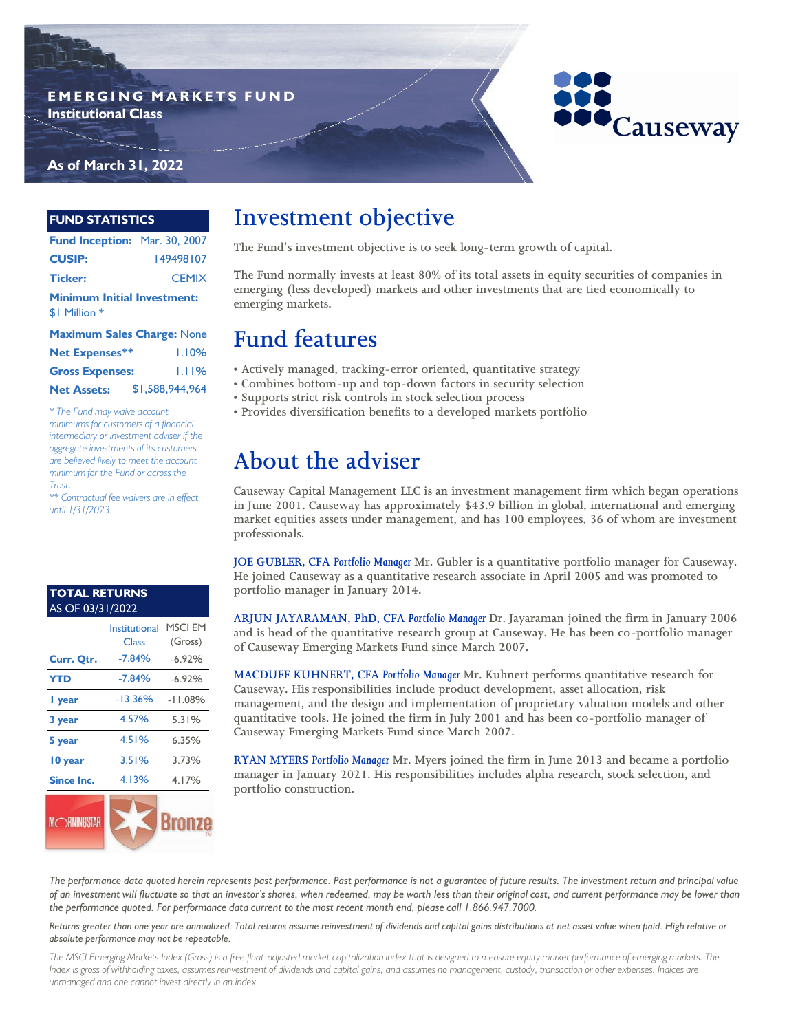#### **E M E R G I N G M A R K E T S F U N D Institutional Class**



### **As of March 31, 2022**

#### **FUND STATISTICS**

| Fund Inception: Mar. 30, 2007      |              |  |  |
|------------------------------------|--------------|--|--|
| <b>CUSIP:</b>                      | 149498107    |  |  |
| <b>Ticker:</b>                     | <b>CEMIX</b> |  |  |
| <b>Minimum Initial Investment:</b> |              |  |  |
| \$1 Million *                      |              |  |  |

| <b>Maximum Sales Charge: None</b> |  |                 |
|-----------------------------------|--|-----------------|
| <b>Net Expenses**</b>             |  | 1.10%           |
| <b>Gross Expenses:</b>            |  | 1.11%           |
| <b>Net Assets:</b>                |  | \$1,588,944,964 |

*\* The Fund may waive account minimums for customers of a financial intermediary or investment adviser if the aggregate investments of its customers are believed likely to meet the account minimum for the Fund or across the Trust.*

*\*\* Contractual fee waivers are in effect until 1/31/2023.*

#### AS OF 03/31/2022 **TOTAL RETURNS**

|                   | Institutional | <b>MSCI EM</b> |
|-------------------|---------------|----------------|
|                   | Class         | (Gross)        |
| Curr. Qtr.        | $-7.84%$      | $-6.92%$       |
| <b>YTD</b>        | $-7.84%$      | $-6.92%$       |
| I year            | $-13.36%$     | $-11.08%$      |
| 3 year            | 4.57%         | 5.31%          |
| 5 year            | 4.51%         | 6.35%          |
| 10 year           | 3.51%         | 3.73%          |
| <b>Since Inc.</b> | 4.13%         | 4.17%          |
|                   |               | <b>COLOR</b>   |



# **Investment objective**

**The Fund's investment objective is to seek long-term growth of capital.** 

**The Fund normally invests at least 80% of its total assets in equity securities of companies in emerging (less developed) markets and other investments that are tied economically to emerging markets.**

## **Fund features**

- **Actively managed, tracking-error oriented, quantitative strategy**
- **Combines bottom-up and top-down factors in security selection**
- **Supports strict risk controls in stock selection process**
- **Provides diversification benefits to a developed markets portfolio**

# **About the adviser**

**Causeway Capital Management LLC is an investment management firm which began operations in June 2001. Causeway has approximately \$43.9 billion in global, international and emerging market equities assets under management, and has 100 employees, 36 of whom are investment professionals.** 

**JOE GUBLER, CFA** *Portfolio Manager* **Mr. Gubler is a quantitative portfolio manager for Causeway. He joined Causeway as a quantitative research associate in April 2005 and was promoted to portfolio manager in January 2014.**

**ARJUN JAYARAMAN, PhD, CFA** *Portfolio Manager* **Dr. Jayaraman joined the firm in January 2006 and is head of the quantitative research group at Causeway. He has been co-portfolio manager of Causeway Emerging Markets Fund since March 2007.**

**MACDUFF KUHNERT, CFA** *Portfolio Manager* **Mr. Kuhnert performs quantitative research for Causeway. His responsibilities include product development, asset allocation, risk management, and the design and implementation of proprietary valuation models and other quantitative tools. He joined the firm in July 2001 and has been co-portfolio manager of Causeway Emerging Markets Fund since March 2007.**

**RYAN MYERS** *Portfolio Manager* **Mr. Myers joined the firm in June 2013 and became a portfolio manager in January 2021. His responsibilities includes alpha research, stock selection, and portfolio construction.** 

*The performance data quoted herein represents past performance. Past performance is not a guarantee of future results. The investment return and principal value of an investment will fluctuate so that an investor's shares, when redeemed, may be worth less than their original cost, and current performance may be lower than the performance quoted. For performance data current to the most recent month end, please call 1.866.947.7000.* 

*Returns greater than one year are annualized. Total returns assume reinvestment of dividends and capital gains distributions at net asset value when paid. High relative or absolute performance may not be repeatable.*

*The MSCI Emerging Markets Index (Gross) is a free float-adjusted market capitalization index that is designed to measure equity market performance of emerging markets. The Index is gross of withholding taxes, assumes reinvestment of dividends and capital gains, and assumes no management, custody, transaction or other expenses. Indices are unmanaged and one cannot invest directly in an index.*